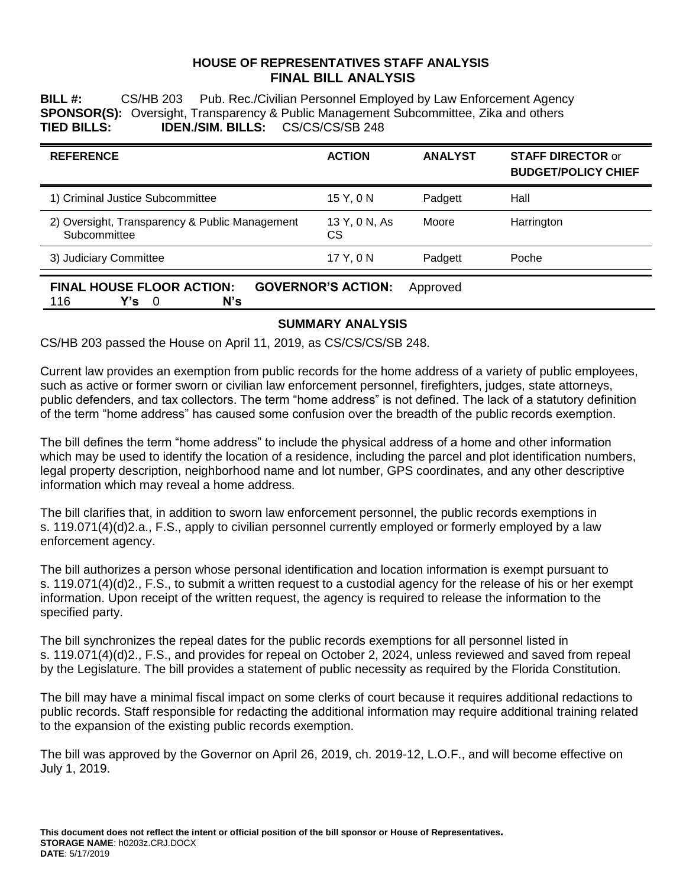### **HOUSE OF REPRESENTATIVES STAFF ANALYSIS FINAL BILL ANALYSIS**

**BILL #:** CS/HB 203 Pub. Rec./Civilian Personnel Employed by Law Enforcement Agency **SPONSOR(S):** Oversight, Transparency & Public Management Subcommittee, Zika and others **TIED BILLS: IDEN./SIM. BILLS:** CS/CS/CS/SB 248

| <b>REFERENCE</b>                                               | <b>ACTION</b>       | <b>ANALYST</b> | <b>STAFF DIRECTOR or</b><br><b>BUDGET/POLICY CHIEF</b> |
|----------------------------------------------------------------|---------------------|----------------|--------------------------------------------------------|
| 1) Criminal Justice Subcommittee                               | 15 Y, 0 N           | Padgett        | Hall                                                   |
| 2) Oversight, Transparency & Public Management<br>Subcommittee | 13 Y, 0 N, As<br>СS | Moore          | Harrington                                             |
| 3) Judiciary Committee                                         | 17 Y, 0 N           | Padgett        | Poche                                                  |

|      |                 | <b>FINAL HOUSE FLOOR ACTION:</b> | <b>GOVERNOR'S ACTION:</b> Approved |  |
|------|-----------------|----------------------------------|------------------------------------|--|
| -116 | $Y$ 's $\theta$ | N's                              |                                    |  |

## **SUMMARY ANALYSIS**

CS/HB 203 passed the House on April 11, 2019, as CS/CS/CS/SB 248.

Current law provides an exemption from public records for the home address of a variety of public employees, such as active or former sworn or civilian law enforcement personnel, firefighters, judges, state attorneys, public defenders, and tax collectors. The term "home address" is not defined. The lack of a statutory definition of the term "home address" has caused some confusion over the breadth of the public records exemption.

The bill defines the term "home address" to include the physical address of a home and other information which may be used to identify the location of a residence, including the parcel and plot identification numbers, legal property description, neighborhood name and lot number, GPS coordinates, and any other descriptive information which may reveal a home address.

The bill clarifies that, in addition to sworn law enforcement personnel, the public records exemptions in s. 119.071(4)(d)2.a., F.S., apply to civilian personnel currently employed or formerly employed by a law enforcement agency.

The bill authorizes a person whose personal identification and location information is exempt pursuant to s. 119.071(4)(d)2., F.S., to submit a written request to a custodial agency for the release of his or her exempt information. Upon receipt of the written request, the agency is required to release the information to the specified party.

The bill synchronizes the repeal dates for the public records exemptions for all personnel listed in s. 119.071(4)(d)2., F.S., and provides for repeal on October 2, 2024, unless reviewed and saved from repeal by the Legislature. The bill provides a statement of public necessity as required by the Florida Constitution.

The bill may have a minimal fiscal impact on some clerks of court because it requires additional redactions to public records. Staff responsible for redacting the additional information may require additional training related to the expansion of the existing public records exemption.

The bill was approved by the Governor on April 26, 2019, ch. 2019-12, L.O.F., and will become effective on July 1, 2019.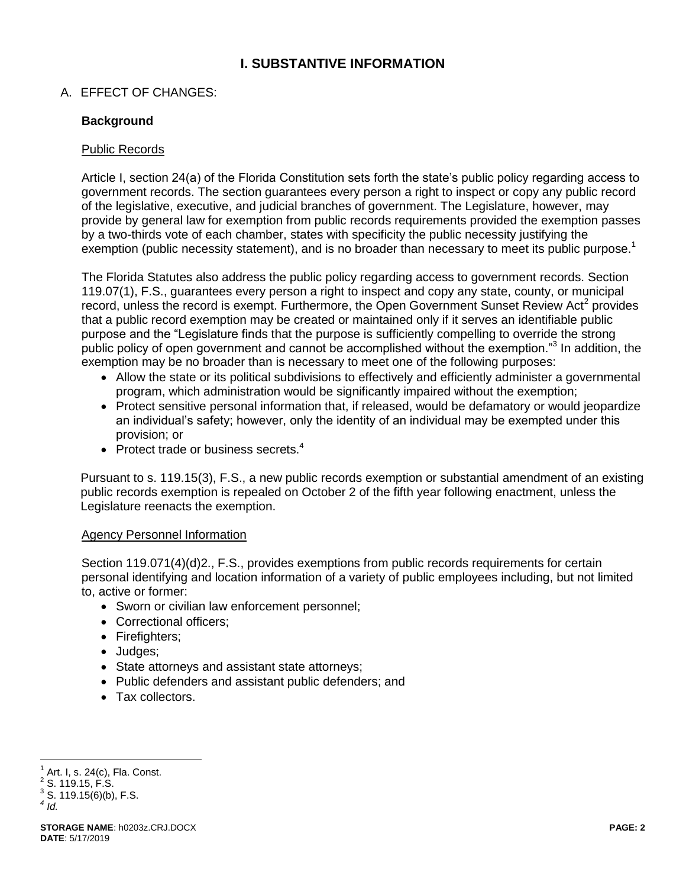# **I. SUBSTANTIVE INFORMATION**

## A. EFFECT OF CHANGES:

## **Background**

### Public Records

Article I, section 24(a) of the Florida Constitution sets forth the state's public policy regarding access to government records. The section guarantees every person a right to inspect or copy any public record of the legislative, executive, and judicial branches of government. The Legislature, however, may provide by general law for exemption from public records requirements provided the exemption passes by a two-thirds vote of each chamber, states with specificity the public necessity justifying the exemption (public necessity statement), and is no broader than necessary to meet its public purpose.<sup>1</sup>

The Florida Statutes also address the public policy regarding access to government records. Section 119.07(1), F.S., guarantees every person a right to inspect and copy any state, county, or municipal record, unless the record is exempt. Furthermore, the Open Government Sunset Review Act<sup>2</sup> provides that a public record exemption may be created or maintained only if it serves an identifiable public purpose and the "Legislature finds that the purpose is sufficiently compelling to override the strong public policy of open government and cannot be accomplished without the exemption."<sup>3</sup> In addition, the exemption may be no broader than is necessary to meet one of the following purposes:

- Allow the state or its political subdivisions to effectively and efficiently administer a governmental program, which administration would be significantly impaired without the exemption;
- Protect sensitive personal information that, if released, would be defamatory or would jeopardize an individual's safety; however, only the identity of an individual may be exempted under this provision; or
- Protect trade or business secrets. $4$

Pursuant to s. 119.15(3), F.S., a new public records exemption or substantial amendment of an existing public records exemption is repealed on October 2 of the fifth year following enactment, unless the Legislature reenacts the exemption.

#### Agency Personnel Information

Section 119.071(4)(d)2., F.S., provides exemptions from public records requirements for certain personal identifying and location information of a variety of public employees including, but not limited to, active or former:

- Sworn or civilian law enforcement personnel;
- Correctional officers:
- Firefighters;
- Judges;
- State attorneys and assistant state attorneys;
- Public defenders and assistant public defenders; and
- Tax collectors.

 1 Art. I, s. 24(c), Fla. Const.

 $2$  S. 119.15, F.S.

 $3$  S. 119.15(6)(b), F.S. *4 Id.*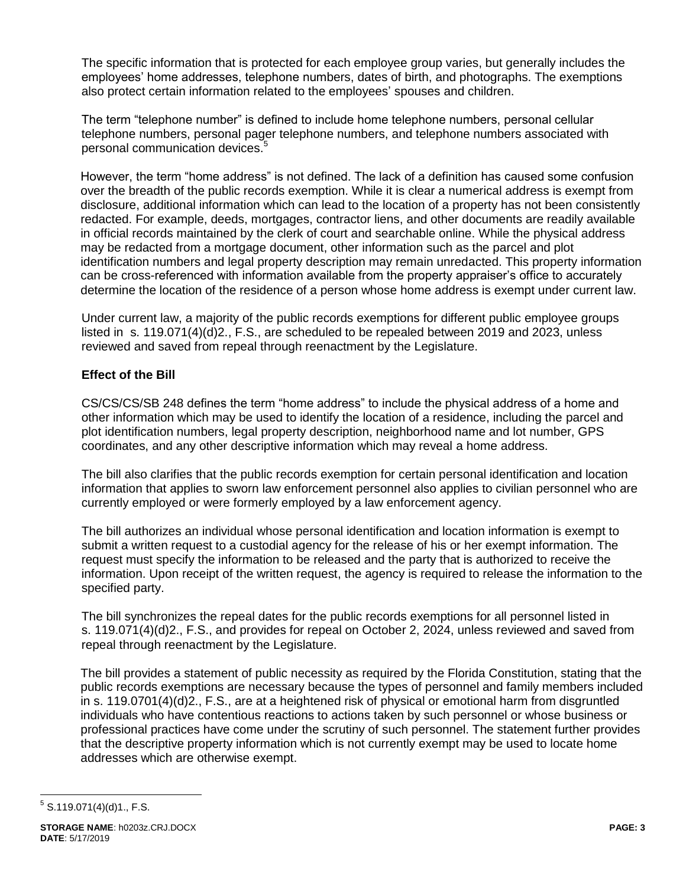The specific information that is protected for each employee group varies, but generally includes the employees' home addresses, telephone numbers, dates of birth, and photographs. The exemptions also protect certain information related to the employees' spouses and children.

The term "telephone number" is defined to include home telephone numbers, personal cellular telephone numbers, personal pager telephone numbers, and telephone numbers associated with personal communication devices.<sup>5</sup>

However, the term "home address" is not defined. The lack of a definition has caused some confusion over the breadth of the public records exemption. While it is clear a numerical address is exempt from disclosure, additional information which can lead to the location of a property has not been consistently redacted. For example, deeds, mortgages, contractor liens, and other documents are readily available in official records maintained by the clerk of court and searchable online. While the physical address may be redacted from a mortgage document, other information such as the parcel and plot identification numbers and legal property description may remain unredacted. This property information can be cross-referenced with information available from the property appraiser's office to accurately determine the location of the residence of a person whose home address is exempt under current law.

Under current law, a majority of the public records exemptions for different public employee groups listed in s. 119.071(4)(d)2., F.S., are scheduled to be repealed between 2019 and 2023, unless reviewed and saved from repeal through reenactment by the Legislature.

## **Effect of the Bill**

CS/CS/CS/SB 248 defines the term "home address" to include the physical address of a home and other information which may be used to identify the location of a residence, including the parcel and plot identification numbers, legal property description, neighborhood name and lot number, GPS coordinates, and any other descriptive information which may reveal a home address.

The bill also clarifies that the public records exemption for certain personal identification and location information that applies to sworn law enforcement personnel also applies to civilian personnel who are currently employed or were formerly employed by a law enforcement agency.

The bill authorizes an individual whose personal identification and location information is exempt to submit a written request to a custodial agency for the release of his or her exempt information. The request must specify the information to be released and the party that is authorized to receive the information. Upon receipt of the written request, the agency is required to release the information to the specified party.

The bill synchronizes the repeal dates for the public records exemptions for all personnel listed in s. 119.071(4)(d)2., F.S., and provides for repeal on October 2, 2024, unless reviewed and saved from repeal through reenactment by the Legislature.

The bill provides a statement of public necessity as required by the Florida Constitution, stating that the public records exemptions are necessary because the types of personnel and family members included in s. 119.0701(4)(d)2., F.S., are at a heightened risk of physical or emotional harm from disgruntled individuals who have contentious reactions to actions taken by such personnel or whose business or professional practices have come under the scrutiny of such personnel. The statement further provides that the descriptive property information which is not currently exempt may be used to locate home addresses which are otherwise exempt.

 $\overline{a}$  $5$  S.119.071(4)(d)1., F.S.